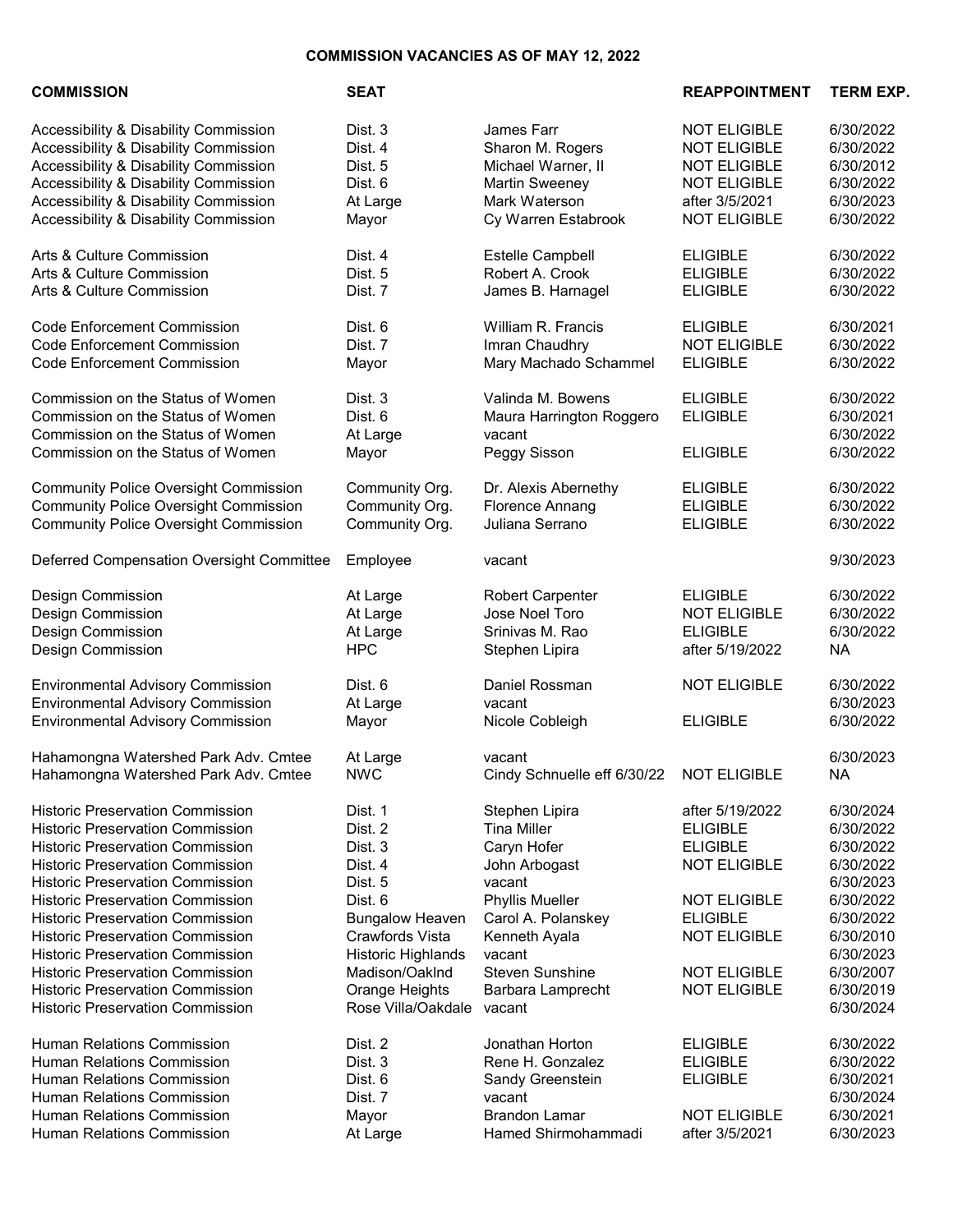## COMMISSION VACANCIES AS OF MAY 12, 2022

Hahamongna Watershed Park Adv. Cmtee NWC Cindy Schnuelle eff 6/30/22 NOT ELIGIBLE NA

Historic Preservation Commission **Dist. 1** Stephen Lipira **after 5/19/2022** 6/30/2024 Historic Preservation Commission Dist. 2 Tina Miller ELIGIBLE 6/30/2022 Historic Preservation Commission Dist. 3 Caryn Hofer ELIGIBLE 6/30/2022 Historic Preservation Commission Dist. 4 John Arbogast NOT ELIGIBLE 6/30/2022 Historic Preservation Commission Dist. 5 vacant 6/30/2023<br>Historic Preservation Commission Dist. 6 Phyllis Mueller NOT ELIGIBLE 6/30/2022 Historic Preservation Commission Dist. 6 Phyllis Mueller NOT ELIGIBLE 6/30/2022 Historic Preservation Commission Bungalow Heaven Carol A. Polanskey ELIGIBLE 6/30/2022 Historic Preservation Commission Crawfords Vista Kenneth Ayala NOT ELIGIBLE 6/30/2010 Historic Preservation Commission Historic Highlands vacant 6/30/2023 Historic Preservation Commission Madison/Oaklnd Steven Sunshine NOT ELIGIBLE 6/30/2007 Historic Preservation Commission Orange Heights Barbara Lamprecht NOT ELIGIBLE 6/30/2019 Historic Preservation Commission **Rose Villa/Oakdale vacant** 6/30/2024

Human Relations Commission Dist. 2 Jonathan Horton ELIGIBLE 6/30/2022 Human Relations Commission Dist. 3 Rene H. Gonzalez ELIGIBLE 6/30/2022 Human Relations Commission Dist. 6 Sandy Greenstein ELIGIBLE 6/30/2021 Human Relations Commission Dist. 7 vacant 6/30/2024 Human Relations Commission Mayor Brandon Lamar NOT ELIGIBLE 6/30/2021 Human Relations Commission At Large Hamed Shirmohammadi after 3/5/2021 6/30/2023

| <b>COMMISSION</b>                                                                                                                                | <b>SEAT</b>                             |                                                                         | <b>REAPPOINTMENT</b>                                  | <b>TERM EXP.</b>                                 |
|--------------------------------------------------------------------------------------------------------------------------------------------------|-----------------------------------------|-------------------------------------------------------------------------|-------------------------------------------------------|--------------------------------------------------|
| Accessibility & Disability Commission                                                                                                            | Dist. 3                                 | James Farr                                                              | <b>NOT ELIGIBLE</b>                                   | 6/30/2022                                        |
| Accessibility & Disability Commission                                                                                                            | Dist. 4                                 | Sharon M. Rogers                                                        | <b>NOT ELIGIBLE</b>                                   | 6/30/2022                                        |
| Accessibility & Disability Commission                                                                                                            | Dist. 5                                 | Michael Warner, II                                                      | <b>NOT ELIGIBLE</b>                                   | 6/30/2012                                        |
| Accessibility & Disability Commission                                                                                                            | Dist. 6                                 | <b>Martin Sweeney</b>                                                   | <b>NOT ELIGIBLE</b>                                   | 6/30/2022                                        |
| <b>Accessibility &amp; Disability Commission</b>                                                                                                 | At Large                                | Mark Waterson                                                           | after 3/5/2021                                        | 6/30/2023                                        |
| <b>Accessibility &amp; Disability Commission</b>                                                                                                 | Mayor                                   | Cy Warren Estabrook                                                     | <b>NOT ELIGIBLE</b>                                   | 6/30/2022                                        |
| Arts & Culture Commission                                                                                                                        | Dist. 4                                 | Estelle Campbell                                                        | <b>ELIGIBLE</b>                                       | 6/30/2022                                        |
| Arts & Culture Commission                                                                                                                        | Dist. 5                                 | Robert A. Crook                                                         | <b>ELIGIBLE</b>                                       | 6/30/2022                                        |
| Arts & Culture Commission                                                                                                                        | Dist. 7                                 | James B. Harnagel                                                       | <b>ELIGIBLE</b>                                       | 6/30/2022                                        |
| <b>Code Enforcement Commission</b>                                                                                                               | Dist. 6                                 | William R. Francis                                                      | <b>ELIGIBLE</b>                                       | 6/30/2021                                        |
| <b>Code Enforcement Commission</b>                                                                                                               | Dist. 7                                 | Imran Chaudhry                                                          | <b>NOT ELIGIBLE</b>                                   | 6/30/2022                                        |
| <b>Code Enforcement Commission</b>                                                                                                               | Mayor                                   | Mary Machado Schammel                                                   | <b>ELIGIBLE</b>                                       | 6/30/2022                                        |
| Commission on the Status of Women<br>Commission on the Status of Women<br>Commission on the Status of Women<br>Commission on the Status of Women | Dist. 3<br>Dist. 6<br>At Large<br>Mayor | Valinda M. Bowens<br>Maura Harrington Roggero<br>vacant<br>Peggy Sisson | <b>ELIGIBLE</b><br><b>ELIGIBLE</b><br><b>ELIGIBLE</b> | 6/30/2022<br>6/30/2021<br>6/30/2022<br>6/30/2022 |
| <b>Community Police Oversight Commission</b>                                                                                                     | Community Org.                          | Dr. Alexis Abernethy                                                    | <b>ELIGIBLE</b>                                       | 6/30/2022                                        |
| <b>Community Police Oversight Commission</b>                                                                                                     | Community Org.                          | Florence Annang                                                         | <b>ELIGIBLE</b>                                       | 6/30/2022                                        |
| <b>Community Police Oversight Commission</b>                                                                                                     | Community Org.                          | Juliana Serrano                                                         | <b>ELIGIBLE</b>                                       | 6/30/2022                                        |
| Deferred Compensation Oversight Committee                                                                                                        | Employee                                | vacant                                                                  |                                                       | 9/30/2023                                        |
| Design Commission                                                                                                                                | At Large                                | <b>Robert Carpenter</b>                                                 | <b>ELIGIBLE</b>                                       | 6/30/2022                                        |
| Design Commission                                                                                                                                | At Large                                | Jose Noel Toro                                                          | <b>NOT ELIGIBLE</b>                                   | 6/30/2022                                        |
| Design Commission                                                                                                                                | At Large                                | Srinivas M. Rao                                                         | <b>ELIGIBLE</b>                                       | 6/30/2022                                        |
| Design Commission                                                                                                                                | <b>HPC</b>                              | Stephen Lipira                                                          | after 5/19/2022                                       | <b>NA</b>                                        |
| <b>Environmental Advisory Commission</b><br><b>Environmental Advisory Commission</b><br><b>Environmental Advisory Commission</b>                 | Dist. 6<br>At Large<br>Mayor            | Daniel Rossman<br>vacant<br>Nicole Cobleigh                             | <b>NOT ELIGIBLE</b><br><b>ELIGIBLE</b>                | 6/30/2022<br>6/30/2023<br>6/30/2022              |
| Hahamongna Watershed Park Adv. Cmtee                                                                                                             | At Large                                | vacant                                                                  |                                                       | 6/30/2023                                        |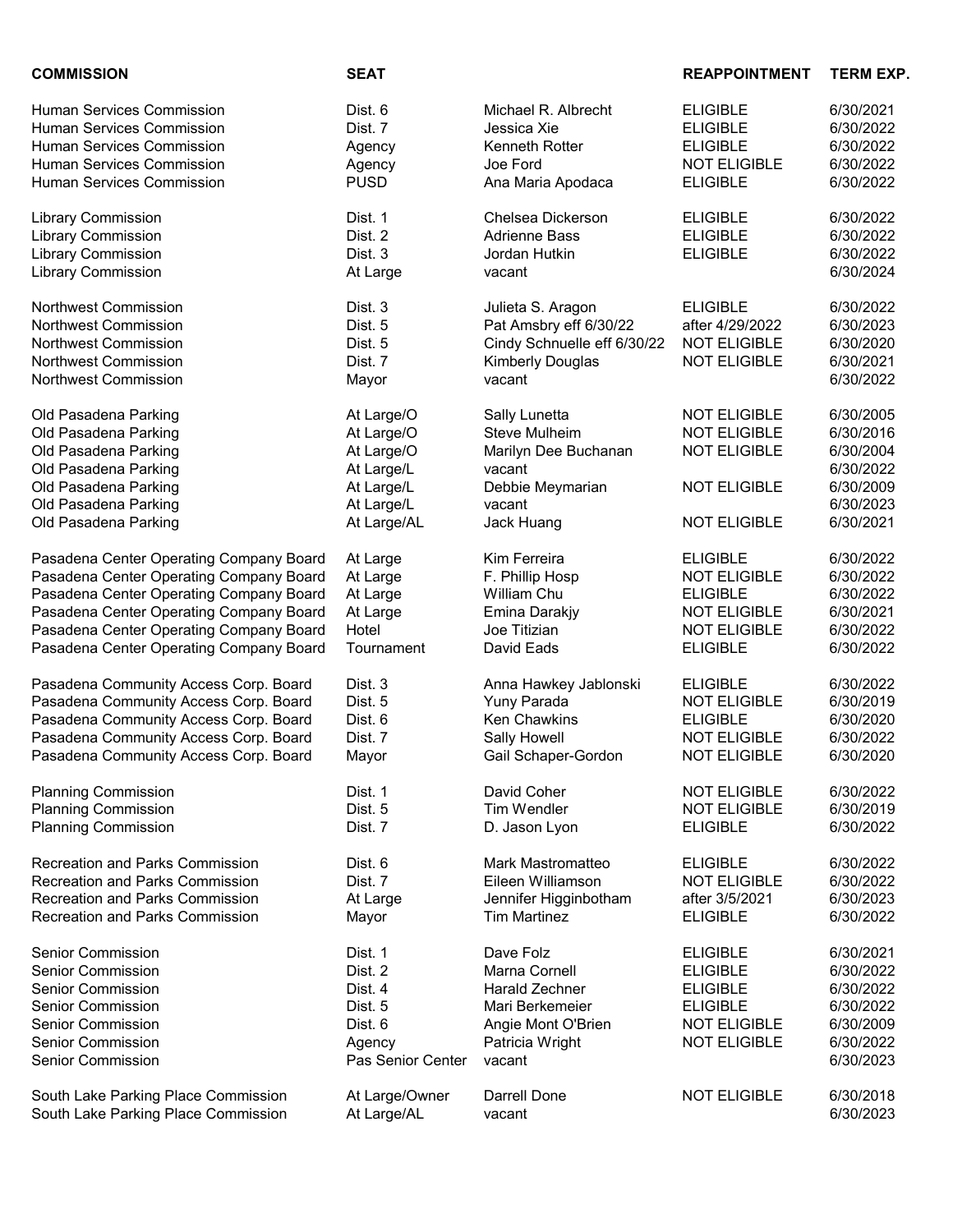| <b>COMMISSION</b>                       | <b>SEAT</b>       |                             | <b>REAPPOINTMENT</b> | <b>TERM EXP.</b> |
|-----------------------------------------|-------------------|-----------------------------|----------------------|------------------|
| <b>Human Services Commission</b>        | Dist. 6           | Michael R. Albrecht         | <b>ELIGIBLE</b>      | 6/30/2021        |
| <b>Human Services Commission</b>        | Dist. 7           | Jessica Xie                 | <b>ELIGIBLE</b>      | 6/30/2022        |
| <b>Human Services Commission</b>        | Agency            | Kenneth Rotter              | <b>ELIGIBLE</b>      | 6/30/2022        |
| <b>Human Services Commission</b>        | Agency            | Joe Ford                    | <b>NOT ELIGIBLE</b>  | 6/30/2022        |
| <b>Human Services Commission</b>        | <b>PUSD</b>       | Ana Maria Apodaca           | <b>ELIGIBLE</b>      | 6/30/2022        |
| <b>Library Commission</b>               | Dist. 1           | Chelsea Dickerson           | <b>ELIGIBLE</b>      | 6/30/2022        |
| <b>Library Commission</b>               | Dist. 2           | <b>Adrienne Bass</b>        | <b>ELIGIBLE</b>      | 6/30/2022        |
| <b>Library Commission</b>               | Dist. 3           | Jordan Hutkin               | <b>ELIGIBLE</b>      | 6/30/2022        |
| <b>Library Commission</b>               | At Large          | vacant                      |                      | 6/30/2024        |
| <b>Northwest Commission</b>             | Dist. 3           | Julieta S. Aragon           | <b>ELIGIBLE</b>      | 6/30/2022        |
| Northwest Commission                    | Dist. 5           | Pat Amsbry eff 6/30/22      | after 4/29/2022      | 6/30/2023        |
| Northwest Commission                    | Dist. 5           | Cindy Schnuelle eff 6/30/22 | <b>NOT ELIGIBLE</b>  | 6/30/2020        |
| <b>Northwest Commission</b>             | Dist. 7           | <b>Kimberly Douglas</b>     | <b>NOT ELIGIBLE</b>  | 6/30/2021        |
| Northwest Commission                    | Mayor             | vacant                      |                      | 6/30/2022        |
| Old Pasadena Parking                    | At Large/O        | Sally Lunetta               | <b>NOT ELIGIBLE</b>  | 6/30/2005        |
| Old Pasadena Parking                    | At Large/O        | <b>Steve Mulheim</b>        | <b>NOT ELIGIBLE</b>  | 6/30/2016        |
| Old Pasadena Parking                    | At Large/O        | Marilyn Dee Buchanan        | <b>NOT ELIGIBLE</b>  | 6/30/2004        |
| Old Pasadena Parking                    | At Large/L        | vacant                      |                      | 6/30/2022        |
| Old Pasadena Parking                    | At Large/L        | Debbie Meymarian            | <b>NOT ELIGIBLE</b>  | 6/30/2009        |
| Old Pasadena Parking                    | At Large/L        | vacant                      |                      | 6/30/2023        |
| Old Pasadena Parking                    | At Large/AL       | Jack Huang                  | <b>NOT ELIGIBLE</b>  | 6/30/2021        |
| Pasadena Center Operating Company Board | At Large          | Kim Ferreira                | <b>ELIGIBLE</b>      | 6/30/2022        |
| Pasadena Center Operating Company Board | At Large          | F. Phillip Hosp             | <b>NOT ELIGIBLE</b>  | 6/30/2022        |
| Pasadena Center Operating Company Board | At Large          | William Chu                 | <b>ELIGIBLE</b>      | 6/30/2022        |
| Pasadena Center Operating Company Board | At Large          | Emina Darakjy               | <b>NOT ELIGIBLE</b>  | 6/30/2021        |
| Pasadena Center Operating Company Board | Hotel             | Joe Titizian                | <b>NOT ELIGIBLE</b>  | 6/30/2022        |
| Pasadena Center Operating Company Board | Tournament        | David Eads                  | <b>ELIGIBLE</b>      | 6/30/2022        |
| Pasadena Community Access Corp. Board   | Dist. 3           | Anna Hawkey Jablonski       | <b>ELIGIBLE</b>      | 6/30/2022        |
| Pasadena Community Access Corp. Board   | Dist. 5           | Yuny Parada                 | <b>NOT ELIGIBLE</b>  | 6/30/2019        |
| Pasadena Community Access Corp. Board   | Dist. 6           | <b>Ken Chawkins</b>         | <b>ELIGIBLE</b>      | 6/30/2020        |
| Pasadena Community Access Corp. Board   | Dist. 7           | Sally Howell                | <b>NOT ELIGIBLE</b>  | 6/30/2022        |
| Pasadena Community Access Corp. Board   | Mayor             | Gail Schaper-Gordon         | <b>NOT ELIGIBLE</b>  | 6/30/2020        |
| <b>Planning Commission</b>              | Dist. 1           | David Coher                 | <b>NOT ELIGIBLE</b>  | 6/30/2022        |
| <b>Planning Commission</b>              | Dist. 5           | <b>Tim Wendler</b>          | <b>NOT ELIGIBLE</b>  | 6/30/2019        |
| <b>Planning Commission</b>              | Dist. 7           | D. Jason Lyon               | <b>ELIGIBLE</b>      | 6/30/2022        |
| <b>Recreation and Parks Commission</b>  | Dist. 6           | Mark Mastromatteo           | <b>ELIGIBLE</b>      | 6/30/2022        |
| <b>Recreation and Parks Commission</b>  | Dist. 7           | Eileen Williamson           | <b>NOT ELIGIBLE</b>  | 6/30/2022        |
| <b>Recreation and Parks Commission</b>  | At Large          | Jennifer Higginbotham       | after 3/5/2021       | 6/30/2023        |
| <b>Recreation and Parks Commission</b>  | Mayor             | <b>Tim Martinez</b>         | <b>ELIGIBLE</b>      | 6/30/2022        |
| <b>Senior Commission</b>                | Dist. 1           | Dave Folz                   | <b>ELIGIBLE</b>      | 6/30/2021        |
| <b>Senior Commission</b>                | Dist. 2           | Marna Cornell               | <b>ELIGIBLE</b>      | 6/30/2022        |
| <b>Senior Commission</b>                | Dist. 4           | <b>Harald Zechner</b>       | <b>ELIGIBLE</b>      | 6/30/2022        |
| <b>Senior Commission</b>                | Dist. 5           | Mari Berkemeier             | <b>ELIGIBLE</b>      | 6/30/2022        |
| <b>Senior Commission</b>                | Dist. 6           | Angie Mont O'Brien          | <b>NOT ELIGIBLE</b>  | 6/30/2009        |
| <b>Senior Commission</b>                | Agency            | Patricia Wright             | <b>NOT ELIGIBLE</b>  | 6/30/2022        |
| <b>Senior Commission</b>                | Pas Senior Center | vacant                      |                      | 6/30/2023        |
| South Lake Parking Place Commission     | At Large/Owner    | Darrell Done                | <b>NOT ELIGIBLE</b>  | 6/30/2018        |
| South Lake Parking Place Commission     | At Large/AL       | vacant                      |                      | 6/30/2023        |